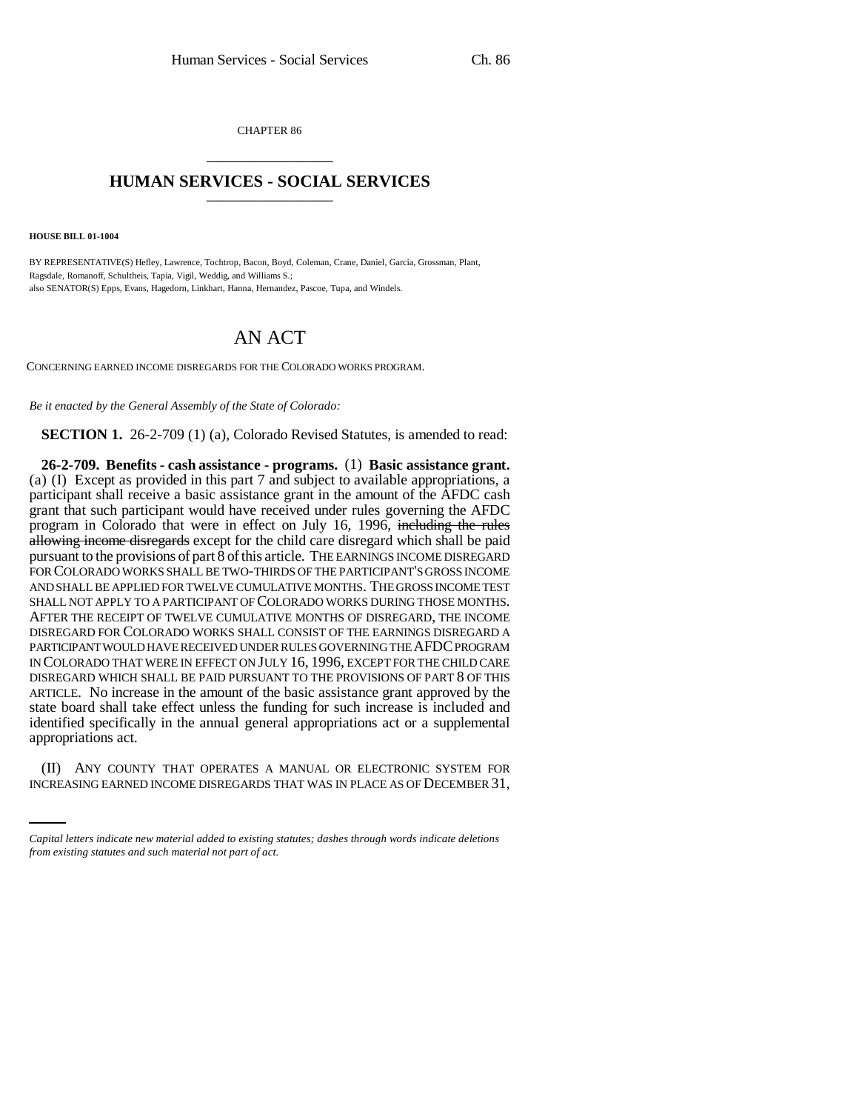CHAPTER 86 \_\_\_\_\_\_\_\_\_\_\_\_\_\_\_

## **HUMAN SERVICES - SOCIAL SERVICES** \_\_\_\_\_\_\_\_\_\_\_\_\_\_\_

**HOUSE BILL 01-1004**

BY REPRESENTATIVE(S) Hefley, Lawrence, Tochtrop, Bacon, Boyd, Coleman, Crane, Daniel, Garcia, Grossman, Plant, Ragsdale, Romanoff, Schultheis, Tapia, Vigil, Weddig, and Williams S.; also SENATOR(S) Epps, Evans, Hagedorn, Linkhart, Hanna, Hernandez, Pascoe, Tupa, and Windels.

## AN ACT

CONCERNING EARNED INCOME DISREGARDS FOR THE COLORADO WORKS PROGRAM.

*Be it enacted by the General Assembly of the State of Colorado:*

**SECTION 1.** 26-2-709 (1) (a), Colorado Revised Statutes, is amended to read:

appropriations act. **26-2-709. Benefits - cash assistance - programs.** (1) **Basic assistance grant.** (a) (I) Except as provided in this part 7 and subject to available appropriations, a participant shall receive a basic assistance grant in the amount of the AFDC cash grant that such participant would have received under rules governing the AFDC program in Colorado that were in effect on July 16, 1996, including the rules allowing income disregards except for the child care disregard which shall be paid pursuant to the provisions of part 8 of this article. THE EARNINGS INCOME DISREGARD FOR COLORADO WORKS SHALL BE TWO-THIRDS OF THE PARTICIPANT'S GROSS INCOME AND SHALL BE APPLIED FOR TWELVE CUMULATIVE MONTHS. THE GROSS INCOME TEST SHALL NOT APPLY TO A PARTICIPANT OF COLORADO WORKS DURING THOSE MONTHS. AFTER THE RECEIPT OF TWELVE CUMULATIVE MONTHS OF DISREGARD, THE INCOME DISREGARD FOR COLORADO WORKS SHALL CONSIST OF THE EARNINGS DISREGARD A PARTICIPANT WOULD HAVE RECEIVED UNDER RULES GOVERNING THE AFDC PROGRAM IN COLORADO THAT WERE IN EFFECT ON JULY 16, 1996, EXCEPT FOR THE CHILD CARE DISREGARD WHICH SHALL BE PAID PURSUANT TO THE PROVISIONS OF PART 8 OF THIS ARTICLE. No increase in the amount of the basic assistance grant approved by the state board shall take effect unless the funding for such increase is included and identified specifically in the annual general appropriations act or a supplemental

(II) ANY COUNTY THAT OPERATES A MANUAL OR ELECTRONIC SYSTEM FOR INCREASING EARNED INCOME DISREGARDS THAT WAS IN PLACE AS OF DECEMBER 31,

*Capital letters indicate new material added to existing statutes; dashes through words indicate deletions from existing statutes and such material not part of act.*